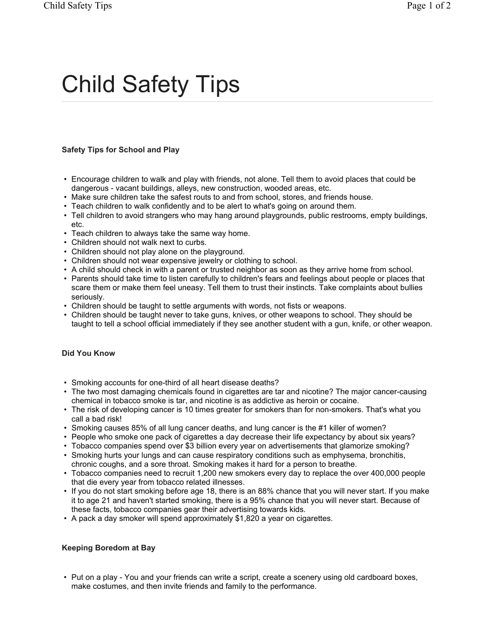# Child Safety Tips

## **Safety Tips for School and Play**

- Encourage children to walk and play with friends, not alone. Tell them to avoid places that could be dangerous - vacant buildings, alleys, new construction, wooded areas, etc.
- Make sure children take the safest routs to and from school, stores, and friends house.
- Teach children to walk confidently and to be alert to what's going on around them.
- Tell children to avoid strangers who may hang around playgrounds, public restrooms, empty buildings, etc.
- Teach children to always take the same way home.
- Children should not walk next to curbs.
- Children should not play alone on the playground.
- Children should not wear expensive jewelry or clothing to school.
- A child should check in with a parent or trusted neighbor as soon as they arrive home from school.
- Parents should take time to listen carefully to children's fears and feelings about people or places that scare them or make them feel uneasy. Tell them to trust their instincts. Take complaints about bullies seriously.
- Children should be taught to settle arguments with words, not fists or weapons.
- Children should be taught never to take guns, knives, or other weapons to school. They should be taught to tell a school official immediately if they see another student with a gun, knife, or other weapon.

#### **Did You Know**

- Smoking accounts for one-third of all heart disease deaths?
- The two most damaging chemicals found in cigarettes are tar and nicotine? The major cancer-causing chemical in tobacco smoke is tar, and nicotine is as addictive as heroin or cocaine.
- The risk of developing cancer is 10 times greater for smokers than for non-smokers. That's what you call a bad risk!
- Smoking causes 85% of all lung cancer deaths, and lung cancer is the #1 killer of women?
- People who smoke one pack of cigarettes a day decrease their life expectancy by about six years?
- Tobacco companies spend over \$3 billion every year on advertisements that glamorize smoking?
- Smoking hurts your lungs and can cause respiratory conditions such as emphysema, bronchitis, chronic coughs, and a sore throat. Smoking makes it hard for a person to breathe.
- Tobacco companies need to recruit 1,200 new smokers every day to replace the over 400,000 people that die every year from tobacco related illnesses.
- If you do not start smoking before age 18, there is an 88% chance that you will never start. If you make it to age 21 and haven't started smoking, there is a 95% chance that you will never start. Because of these facts, tobacco companies gear their advertising towards kids.
- A pack a day smoker will spend approximately \$1,820 a year on cigarettes.

#### **Keeping Boredom at Bay**

• Put on a play - You and your friends can write a script, create a scenery using old cardboard boxes, make costumes, and then invite friends and family to the performance.